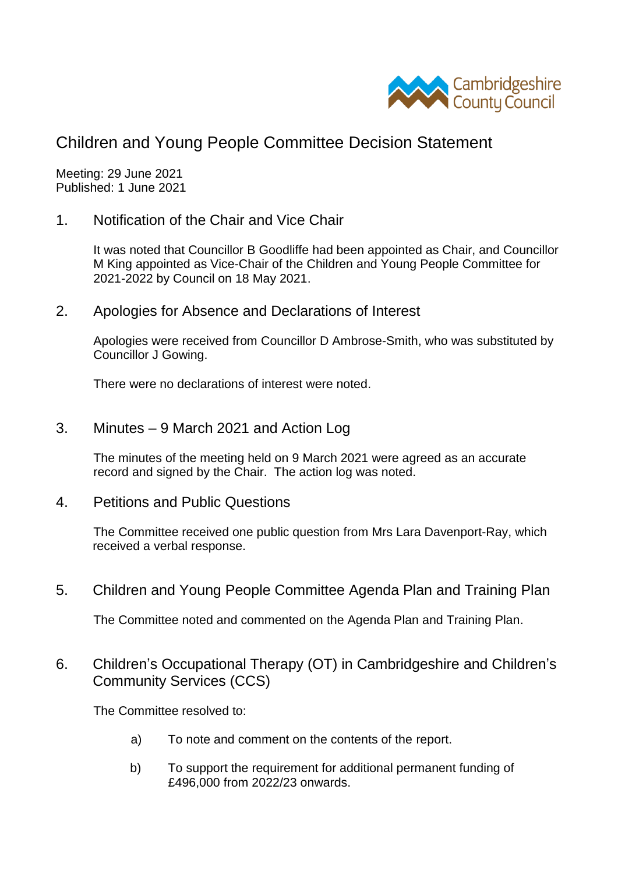

## Children and Young People Committee Decision Statement

Meeting: 29 June 2021 Published: 1 June 2021

1. Notification of the Chair and Vice Chair

It was noted that Councillor B Goodliffe had been appointed as Chair, and Councillor M King appointed as Vice-Chair of the Children and Young People Committee for 2021-2022 by Council on 18 May 2021.

2. Apologies for Absence and Declarations of Interest

Apologies were received from Councillor D Ambrose-Smith, who was substituted by Councillor J Gowing.

There were no declarations of interest were noted.

3. Minutes – 9 March 2021 and Action Log

The minutes of the meeting held on 9 March 2021 were agreed as an accurate record and signed by the Chair. The action log was noted.

4. Petitions and Public Questions

The Committee received one public question from Mrs Lara Davenport-Ray, which received a verbal response.

5. Children and Young People Committee Agenda Plan and Training Plan

The Committee noted and commented on the Agenda Plan and Training Plan.

6. Children's Occupational Therapy (OT) in Cambridgeshire and Children's Community Services (CCS)

The Committee resolved to:

- a) To note and comment on the contents of the report.
- b) To support the requirement for additional permanent funding of £496,000 from 2022/23 onwards.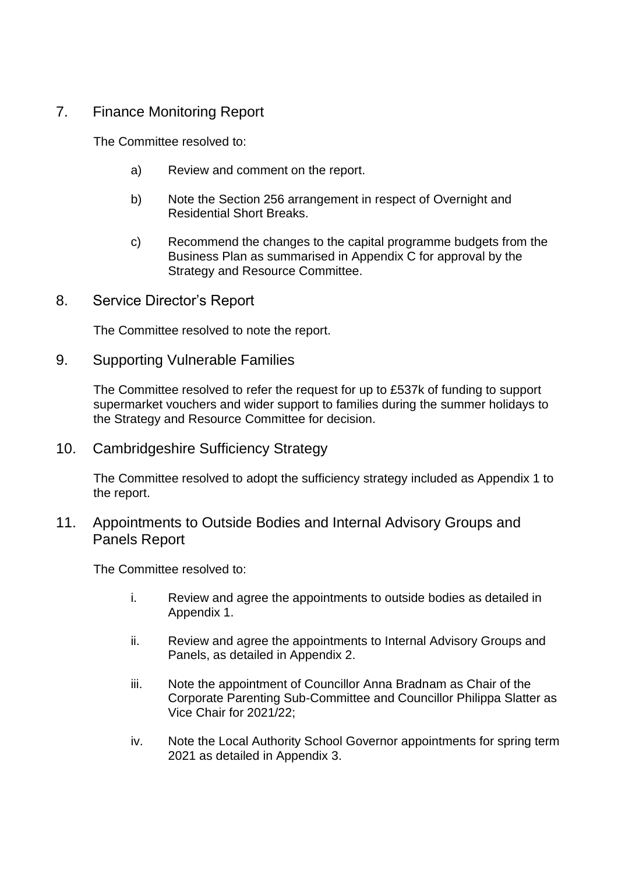## 7. Finance Monitoring Report

The Committee resolved to:

- a) Review and comment on the report.
- b) Note the Section 256 arrangement in respect of Overnight and Residential Short Breaks.
- c) Recommend the changes to the capital programme budgets from the Business Plan as summarised in Appendix C for approval by the Strategy and Resource Committee.
- 8. Service Director's Report

The Committee resolved to note the report.

9. Supporting Vulnerable Families

The Committee resolved to refer the request for up to £537k of funding to support supermarket vouchers and wider support to families during the summer holidays to the Strategy and Resource Committee for decision.

10. Cambridgeshire Sufficiency Strategy

The Committee resolved to adopt the sufficiency strategy included as Appendix 1 to the report.

## 11. Appointments to Outside Bodies and Internal Advisory Groups and Panels Report

The Committee resolved to:

- i. Review and agree the appointments to outside bodies as detailed in Appendix 1.
- ii. Review and agree the appointments to Internal Advisory Groups and Panels, as detailed in Appendix 2.
- iii. Note the appointment of Councillor Anna Bradnam as Chair of the Corporate Parenting Sub-Committee and Councillor Philippa Slatter as Vice Chair for 2021/22;
- iv. Note the Local Authority School Governor appointments for spring term 2021 as detailed in Appendix 3.